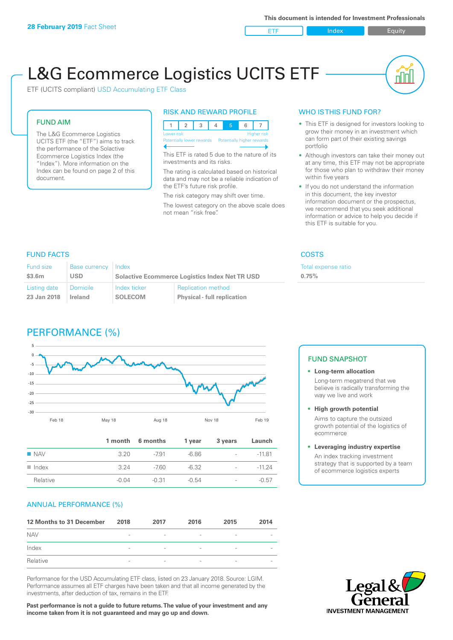ETF Index Builty

nl IN

# L&G Ecommerce Logistics UCITS ETF

ETF (UCITS compliant) USD Accumulating ETF Class

### FUND AIM

The L&G Ecommerce Logistics UCITS ETF (the "ETF") aims to track the performance of the Solactive Ecommerce Logistics Index (the "Index"). More information on the Index can be found on page 2 of this document.

### RISK AND REWARD PROFILE



This ETF is rated 5 due to the nature of its investments and its risks.

The rating is calculated based on historical data and may not be a reliable indication of the ETF's future risk profile.

The risk category may shift over time. The lowest category on the above scale does not mean "risk free".

### WHO IS THIS FUND FOR?

- This ETF is designed for investors looking to grow their money in an investment which can form part of their existing savings portfolio
- Although investors can take their money out at any time, this ETF may not be appropriate for those who plan to withdraw their money within five years
- If you do not understand the information in this document, the key investor information document or the prospectus, we recommend that you seek additional information or advice to help you decide if this ETF is suitable for you.

**0.75%**

Total expense ratio

### FUND FACTS COSTS

| Fund size    | Base currency   | Index                                                 |                                    |  |
|--------------|-----------------|-------------------------------------------------------|------------------------------------|--|
| \$3.6m       | USD             | <b>Solactive Ecommerce Logistics Index Net TR USD</b> |                                    |  |
| Listing date | <b>Domicile</b> | Index ticker                                          | <b>Replication method</b>          |  |
| 23 Jan 2018  | Ireland         | <b>SOLECOM</b>                                        | <b>Physical - full replication</b> |  |

## PERFORMANCE (%)



|                      |         | 1 month 6 months | 1 year  | 3 years                  | Launch   |
|----------------------|---------|------------------|---------|--------------------------|----------|
| $\blacksquare$ NAV   | 3.20    | -791             | -6.86   | $\sim$                   | $-11.81$ |
| $\blacksquare$ Index | 3.24    | -7.60            | -6.32   | $\sim$                   | $-11.24$ |
| Relative             | $-0.04$ | -0.31            | $-0.54$ | $\overline{\phantom{0}}$ | $-0.57$  |

### ANNUAL PERFORMANCE (%)

| 12 Months to 31 December | 2018                     | 2017                     | 2016                     | 2015                     | 2014 |
|--------------------------|--------------------------|--------------------------|--------------------------|--------------------------|------|
| <b>NAV</b>               | $\overline{\phantom{a}}$ | $\overline{\phantom{a}}$ | $\qquad \qquad$          | $\overline{\phantom{a}}$ |      |
| Index                    | $\overline{\phantom{a}}$ | $\overline{\phantom{a}}$ | $\overline{\phantom{a}}$ | $\overline{\phantom{a}}$ |      |
| Relative                 | $\overline{\phantom{a}}$ | $\overline{\phantom{a}}$ | $\qquad \qquad$          | $\overline{\phantom{a}}$ |      |

Performance for the USD Accumulating ETF class, listed on 23 January 2018. Source: LGIM. Performance assumes all ETF charges have been taken and that all income generated by the investments, after deduction of tax, remains in the ETF.

**Past performance is not a guide to future returns. The value of your investment and any income taken from it is not guaranteed and may go up and down.**

### FUND SNAPSHOT

- **• Long-term allocation** Long-term megatrend that we believe is radically transforming the way we live and work
- **• High growth potential** Aims to capture the outsized

growth potential of the logistics of ecommerce

### **• Leveraging industry expertise**

An index tracking investment strategy that is supported by a team of ecommerce logistics experts

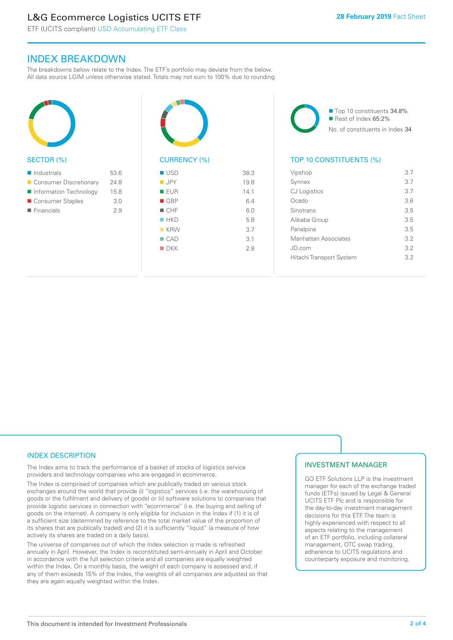# L&G Ecommerce Logistics UCITS ETF

ETF (UCITS compliant) USD Accumulating ETF Class

### INDEX BREAKDOWN

The breakdowns below relate to the Index. The ETF's portfolio may deviate from the below. All data source LGIM unless otherwise stated. Totals may not sum to 100% due to rounding.



### SECTOR (%)

| $\blacksquare$ Industrials | 53.6 |
|----------------------------|------|
| ■ Consumer Discretionary   | 24.8 |
| Information Technology     | 15.8 |
| ■ Consumer Staples         | 3.0  |
| $\blacksquare$ Financials  | 29   |
|                            |      |



| <b>USD</b>         | 38.3 |
|--------------------|------|
| <b>JPY</b>         | 19.8 |
| <b>EUR</b>         | 14.1 |
| $\blacksquare$ GBP | 6.4  |
| CHF                | 6.0  |
| HKD                | 5.8  |
| $K$ KRW            | 3.7  |
| $\Box$ CAD         | 3.1  |
| $\blacksquare$ DKK | 2.8  |
|                    |      |

■ Top 10 constituents 34.8% Rest of Index 65.2% No. of constituents in Index 34

### TOP 10 CONSTITUENTS (%)

| Vipshop                  | 3.7 |
|--------------------------|-----|
| Synnex                   | 3.7 |
| <b>CJ</b> Logistics      | 3.7 |
| Ocado                    | 3.6 |
| Sinotrans                | 3.5 |
| Alibaba Group            | 3.5 |
| Panalpina                | 3.5 |
| Manhattan Associates     | 32  |
| JD.com                   | 32  |
| Hitachi Transport System | 32  |
|                          |     |

### INDEX DESCRIPTION

The Index aims to track the performance of a basket of stocks of logistics service providers and technology companies who are engaged in ecommerce.

The Index is comprised of companies which are publically traded on various stock exchanges around the world that provide (i) "logistics" services (i.e. the warehousing of goods or the fulfilment and delivery of goods) or (ii) software solutions to companies that provide logistic services in connection with "ecommerce" (i.e. the buying and selling of goods on the internet). A company is only eligible for inclusion in the Index if (1) it is of a sufficient size (determined by reference to the total market value of the proportion of its shares that are publically traded) and (2) it is sufficiently "liquid" (a measure of how actively its shares are traded on a daily basis).

The universe of companies out of which the Index selection is made is refreshed annually in April. However, the Index is reconstituted semi-annually in April and October in accordance with the full selection criteria and all companies are equally weighted within the Index. On a monthly basis, the weight of each company is assessed and, if any of them exceeds 15% of the Index, the weights of all companies are adjusted so that they are again equally weighted within the Index.

### INVESTMENT MANAGER

GO ETF Solutions LLP is the investment manager for each of the exchange traded funds (ETFs) issued by Legal & General UCITS ETF Plc and is responsible for the day-to-day investment management decisions for this ETF. The team is highly experienced with respect to all aspects relating to the management of an ETF portfolio, including collateral management, OTC swap trading, adherence to UCITS regulations and counterparty exposure and monitoring.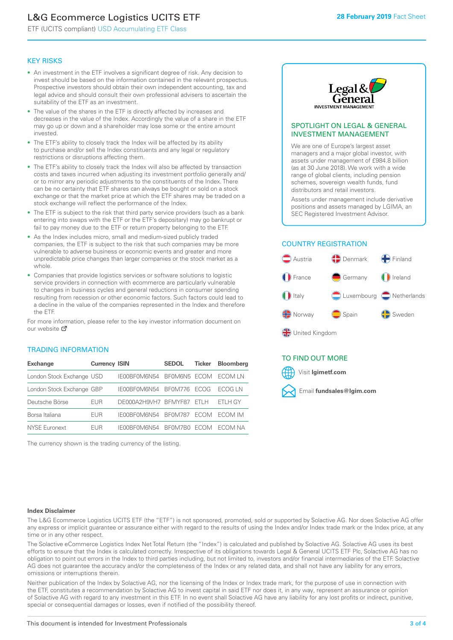# L&G Ecommerce Logistics UCITS ETF

ETF (UCITS compliant) USD Accumulating ETF Class

### KEY RISKS

- An investment in the ETF involves a significant degree of risk. Any decision to invest should be based on the information contained in the relevant prospectus. Prospective investors should obtain their own independent accounting, tax and legal advice and should consult their own professional advisers to ascertain the suitability of the ETF as an investment.
- The value of the shares in the ETF is directly affected by increases and decreases in the value of the Index. Accordingly the value of a share in the ETF may go up or down and a shareholder may lose some or the entire amount invested.
- The ETF's ability to closely track the Index will be affected by its ability to purchase and/or sell the Index constituents and any legal or regulatory restrictions or disruptions affecting them.
- The ETF's ability to closely track the Index will also be affected by transaction costs and taxes incurred when adjusting its investment portfolio generally and/ or to mirror any periodic adjustments to the constituents of the Index. There can be no certainty that ETF shares can always be bought or sold on a stock exchange or that the market price at which the ETF shares may be traded on a stock exchange will reflect the performance of the Index.
- The ETF is subject to the risk that third party service providers (such as a bank entering into swaps with the ETF or the ETF's depositary) may go bankrupt or fail to pay money due to the ETF or return property belonging to the ETF.
- As the Index includes micro, small and medium-sized publicly traded companies, the ETF is subject to the risk that such companies may be more vulnerable to adverse business or economic events and greater and more unpredictable price changes than larger companies or the stock market as a whole.
- Companies that provide logistics services or software solutions to logistic service providers in connection with ecommerce are particularly vulnerable to changes in business cycles and general reductions in consumer spending resulting from recession or other economic factors. Such factors could lead to a decline in the value of the companies represented in the Index and therefore the ETF.

For more information, please refer to the key investor information document on our website ぴ

### TRADING INFORMATION

| <b>Exchange</b>           | <b>Currency ISIN</b> |                           | <b>SEDOL</b>   | <b>Ticker</b> | <b>Bloomberg</b> |
|---------------------------|----------------------|---------------------------|----------------|---------------|------------------|
| London Stock Exchange USD |                      | IE00BF0M6N54              | BFOM6N5 ECOM   |               | ECOM I N         |
| London Stock Exchange GBP |                      | IE00BF0M6N54              | <b>BF0M776</b> | <b>FCOG</b>   | FCOG IN          |
| Deutsche Börse            | <b>EUR</b>           | DE000A2H9VH7 BFMYF87 ETLH |                |               | ETLH GY          |
| Borsa Italiana            | EUR                  | IE00BF0M6N54              | <b>BF0M787</b> | <b>FCOM</b>   | ECOM IM          |
| <b>NYSE Euronext</b>      | <b>FUR</b>           | IF00BF0M6N54              | BF0M7B0        | <b>FCOM</b>   | FCOM NA          |

The currency shown is the trading currency of the listing.



### SPOTLIGHT ON LEGAL & GENERAL INVESTMENT MANAGEMENT

We are one of Europe's largest asset managers and a major global investor, with assets under management of £984.8 billion (as at 30 June 2018). We work with a wide range of global clients, including pension schemes, sovereign wealth funds, fund distributors and retail investors.

Assets under management include derivative positions and assets managed by LGIMA, an SEC Registered Investment Advisor.

### COUNTRY REGISTRATION



### TO FIND OUT MORE

Visit **lgimetf.com**



### **Index Disclaimer**

The L&G Ecommerce Logistics UCITS ETF (the "ETF") is not sponsored, promoted, sold or supported by Solactive AG. Nor does Solactive AG offer any express or implicit guarantee or assurance either with regard to the results of using the Index and/or Index trade mark or the Index price, at any time or in any other respect.

The Solactive eCommerce Logistics Index Net Total Return (the "Index") is calculated and published by Solactive AG. Solactive AG uses its best efforts to ensure that the Index is calculated correctly. Irrespective of its obligations towards Legal & General UCITS ETF Plc, Solactive AG has no obligation to point out errors in the Index to third parties including, but not limited to, investors and/or financial intermediaries of the ETF. Solactive AG does not guarantee the accuracy and/or the completeness of the Index or any related data, and shall not have any liability for any errors, omissions or interruptions therein.

Neither publication of the Index by Solactive AG, nor the licensing of the Index or Index trade mark, for the purpose of use in connection with the ETF, constitutes a recommendation by Solactive AG to invest capital in said ETF nor does it, in any way, represent an assurance or opinion of Solactive AG with regard to any investment in this ETF. In no event shall Solactive AG have any liability for any lost profits or indirect, punitive, special or consequential damages or losses, even if notified of the possibility thereof.